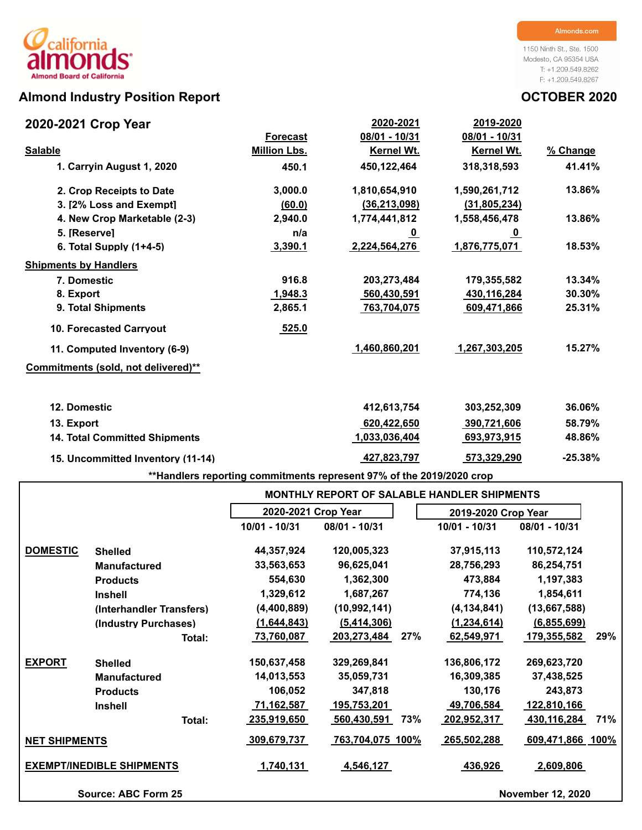# Almond Industry Position Report **Almond Industry Position Report CELL 2020**

1150 Ninth St., Ste. 1500 Modesto, CA 95354 USA T: +1.209.549.8262 F: +1.209.549.8267

| 2020-2021 Crop Year                  |                     | 2020-2021         | 2019-2020         |           |
|--------------------------------------|---------------------|-------------------|-------------------|-----------|
|                                      | <b>Forecast</b>     | 08/01 - 10/31     | 08/01 - 10/31     |           |
| <b>Salable</b>                       | <b>Million Lbs.</b> | <b>Kernel Wt.</b> | <b>Kernel Wt.</b> | % Change  |
| 1. Carryin August 1, 2020            | 450.1               | 450,122,464       | 318,318,593       | 41.41%    |
| 2. Crop Receipts to Date             | 3,000.0             | 1,810,654,910     | 1,590,261,712     | 13.86%    |
| 3. [2% Loss and Exempt]              | (60.0)              | (36, 213, 098)    | (31, 805, 234)    |           |
| 4. New Crop Marketable (2-3)         | 2,940.0             | 1,774,441,812     | 1,558,456,478     | 13.86%    |
| 5. [Reserve]                         | n/a                 | <u>_0</u>         | <u>0</u>          |           |
| 6. Total Supply $(1+4-5)$            | 3,390.1             | 2,224,564,276     | 1,876,775,071     | 18.53%    |
| <b>Shipments by Handlers</b>         |                     |                   |                   |           |
| 7. Domestic                          | 916.8               | 203,273,484       | 179,355,582       | 13.34%    |
| 8. Export                            | 1,948.3             | 560,430,591       | 430,116,284       | 30.30%    |
| 9. Total Shipments                   | 2,865.1             | 763,704,075       | 609,471,866       | 25.31%    |
| <b>10. Forecasted Carryout</b>       | 525.0               |                   |                   |           |
| 11. Computed Inventory (6-9)         |                     | 1,460,860,201     | 1,267,303,205     | 15.27%    |
| Commitments (sold, not delivered)**  |                     |                   |                   |           |
| 12. Domestic                         |                     | 412,613,754       | 303,252,309       | 36.06%    |
| 13. Export                           |                     | 620,422,650       | 390,721,606       | 58.79%    |
| <b>14. Total Committed Shipments</b> |                     | 1,033,036,404     | 693,973,915       | 48.86%    |
| 15. Uncommitted Inventory (11-14)    |                     | 427,823,797       | 573,329,290       | $-25.38%$ |
|                                      |                     |                   |                   |           |

**\*\*Handlers reporting commitments represent 97% of the 2019/2020 crop**

|                      |                                  |                     | <b>MONTHLY REPORT OF SALABLE HANDLER SHIPMENTS</b> |                     |                          |  |  |  |  |  |  |  |  |
|----------------------|----------------------------------|---------------------|----------------------------------------------------|---------------------|--------------------------|--|--|--|--|--|--|--|--|
|                      |                                  | 2020-2021 Crop Year |                                                    | 2019-2020 Crop Year |                          |  |  |  |  |  |  |  |  |
|                      |                                  | 10/01 - 10/31       | 08/01 - 10/31                                      | 10/01 - 10/31       | 08/01 - 10/31            |  |  |  |  |  |  |  |  |
| <b>DOMESTIC</b>      | <b>Shelled</b>                   | 44,357,924          | 120,005,323                                        | 37,915,113          | 110,572,124              |  |  |  |  |  |  |  |  |
|                      | <b>Manufactured</b>              | 33,563,653          | 96,625,041                                         | 28,756,293          | 86,254,751               |  |  |  |  |  |  |  |  |
|                      | <b>Products</b>                  | 554,630             | 1,362,300                                          | 473,884             | 1,197,383                |  |  |  |  |  |  |  |  |
|                      | <b>Inshell</b>                   | 1,329,612           | 1,687,267                                          | 774,136             | 1,854,611                |  |  |  |  |  |  |  |  |
|                      | (Interhandler Transfers)         | (4,400,889)         | (10, 992, 141)                                     | (4, 134, 841)       | (13,667,588)             |  |  |  |  |  |  |  |  |
|                      | (Industry Purchases)             | (1,644,843)         | (5,414,306)                                        | (1, 234, 614)       | (6, 855, 699)            |  |  |  |  |  |  |  |  |
|                      | Total:                           | 73,760,087          | 203,273,484<br>27%                                 | 62,549,971          | 29%<br>179,355,582       |  |  |  |  |  |  |  |  |
| <b>EXPORT</b>        | <b>Shelled</b>                   | 150,637,458         | 329,269,841                                        | 136,806,172         | 269,623,720              |  |  |  |  |  |  |  |  |
|                      | <b>Manufactured</b>              | 14,013,553          | 35,059,731                                         | 16,309,385          | 37,438,525               |  |  |  |  |  |  |  |  |
|                      | <b>Products</b>                  | 106,052             | 347,818                                            | 130,176             | 243,873                  |  |  |  |  |  |  |  |  |
|                      | <b>Inshell</b>                   | 71,162,587          | 195,753,201                                        | 49,706,584          | 122,810,166              |  |  |  |  |  |  |  |  |
|                      | Total:                           | 235,919,650         | 560,430,591<br>73%                                 | 202,952,317         | 71%<br>430,116,284       |  |  |  |  |  |  |  |  |
| <b>NET SHIPMENTS</b> |                                  | 309,679,737         | 763,704,075 100%                                   | 265,502,288         | 609,471,866 100%         |  |  |  |  |  |  |  |  |
|                      | <b>EXEMPT/INEDIBLE SHIPMENTS</b> | 1,740,131           | 4,546,127                                          | 436,926             | 2,609,806                |  |  |  |  |  |  |  |  |
|                      | <b>Source: ABC Form 25</b>       |                     |                                                    |                     | <b>November 12, 2020</b> |  |  |  |  |  |  |  |  |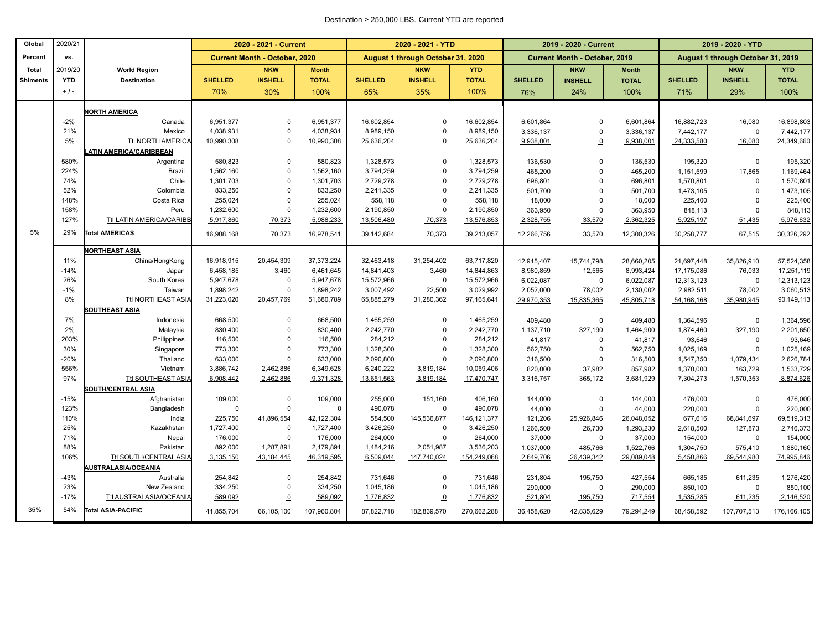#### Destination > 250,000 LBS. Current YTD are reported

| Global          | 2020/21     |                                          | 2020 - 2021 - Current                |                |              |                | 2020 - 2021 - YTD                 |               |                | 2019 - 2020 - Current                |              | 2019 - 2020 - YTD                 |                |                         |  |
|-----------------|-------------|------------------------------------------|--------------------------------------|----------------|--------------|----------------|-----------------------------------|---------------|----------------|--------------------------------------|--------------|-----------------------------------|----------------|-------------------------|--|
| Percent         | vs.         |                                          | <b>Current Month - October, 2020</b> |                |              |                | August 1 through October 31, 2020 |               |                | <b>Current Month - October, 2019</b> |              | August 1 through October 31, 2019 |                |                         |  |
| Total           | 2019/20     | <b>World Region</b>                      |                                      | <b>NKW</b>     | <b>Month</b> |                | <b>NKW</b>                        | <b>YTD</b>    |                | <b>NKW</b>                           | <b>Month</b> |                                   | <b>NKW</b>     | <b>YTD</b>              |  |
| <b>Shiments</b> | <b>YTD</b>  | <b>Destination</b>                       | <b>SHELLED</b>                       | <b>INSHELL</b> | <b>TOTAL</b> | <b>SHELLED</b> | <b>INSHELL</b>                    | <b>TOTAL</b>  | <b>SHELLED</b> | <b>INSHELL</b>                       | <b>TOTAL</b> | <b>SHELLED</b>                    | <b>INSHELL</b> | <b>TOTAL</b>            |  |
|                 | $+1$ .      |                                          | 70%                                  | 30%            | 100%         | 65%            | 35%                               | 100%          | 76%            | 24%                                  | 100%         | 71%                               | 29%            | 100%                    |  |
|                 |             |                                          |                                      |                |              |                |                                   |               |                |                                      |              |                                   |                |                         |  |
|                 | $-2%$       | <b>JORTH AMERICA</b><br>Canada           | 6,951,377                            | 0              | 6,951,377    | 16,602,854     | $\Omega$                          | 16,602,854    | 6,601,864      | 0                                    | 6,601,864    |                                   | 16,080         |                         |  |
|                 | 21%         | Mexico                                   | 4,038,931                            | $\overline{0}$ | 4,038,931    | 8,989,150      | $\Omega$                          | 8,989,150     | 3,336,137      | $\mathbf 0$                          | 3,336,137    | 16,882,723<br>7,442,177           | $\mathbf 0$    | 16,898,803<br>7,442,177 |  |
|                 | 5%          | Ttl NORTH AMERICA                        | 10,990,308                           | $\Omega$       | 10,990,308   | 25,636,204     | $\overline{0}$                    | 25,636,204    | 9,938,001      | $\overline{0}$                       | 9,938,001    | 24,333,580                        | 16,080         | 24,349,660              |  |
|                 |             | ATIN AMERICA/CARIBBEAN                   |                                      |                |              |                |                                   |               |                |                                      |              |                                   |                |                         |  |
|                 | 580%        | Argentina                                | 580,823                              | $\mathbf{0}$   | 580,823      | 1,328,573      | $\mathbf 0$                       | 1,328,573     | 136,530        | $\Omega$                             | 136,530      | 195,320                           | $\mathbf 0$    | 195,320                 |  |
|                 | 224%        | Brazil                                   | 1,562,160                            | $\mathbf 0$    | 1,562,160    | 3,794,259      | $\Omega$                          | 3,794,259     | 465,200        | $\Omega$                             | 465,200      | 1,151,599                         | 17,865         | 1,169,464               |  |
|                 | 74%         | Chile                                    | 1,301,703                            | $\mathbf 0$    | 1,301,703    | 2,729,278      | $\Omega$                          | 2,729,278     | 696,801        | $\Omega$                             | 696,801      | 1,570,801                         | $\mathbf 0$    | 1,570,801               |  |
|                 | 52%         | Colombia                                 | 833,250                              | $\mathbf 0$    | 833,250      | 2,241,335      | $\mathbf 0$                       | 2,241,335     | 501,700        | $\Omega$                             | 501,700      | 1,473,105                         | $\mathbf 0$    | 1,473,105               |  |
|                 | 148%        | Costa Rica                               | 255,024                              | $\mathbf 0$    | 255,024      | 558,118        | 0                                 | 558,118       | 18,000         | $\mathbf 0$                          | 18,000       | 225,400                           | $\mathbf 0$    | 225,400                 |  |
|                 | 158%        | Peru                                     | 1,232,600                            | $\mathbf 0$    | 1,232,600    | 2,190,850      | $\mathbf 0$                       | 2,190,850     | 363,950        | $\mathbf 0$                          | 363,950      | 848,113                           | $\mathbf 0$    | 848,113                 |  |
|                 | 127%        | Ttl LATIN AMERICA/CARIBB                 | 5,917,860                            | 70,373         | 5,988,233    | 13,506,480     | 70,373                            | 13,576,853    | 2,328,755      | 33,570                               | 2,362,325    | 5,925,197                         | 51,435         | 5,976,632               |  |
| 5%              | 29%         | <b>Total AMERICAS</b>                    |                                      |                |              |                |                                   |               |                |                                      |              |                                   |                |                         |  |
|                 |             |                                          | 16,908,168                           | 70,373         | 16,978,541   | 39,142,684     | 70,373                            | 39,213,057    | 12,266,756     | 33,570                               | 12,300,326   | 30,258,777                        | 67,515         | 30,326,292              |  |
|                 |             | <b>JORTHEAST ASIA</b>                    |                                      |                |              |                |                                   |               |                |                                      |              |                                   |                |                         |  |
|                 | 11%         | China/HongKong                           | 16,918,915                           | 20,454,309     | 37, 373, 224 | 32,463,418     | 31,254,402                        | 63,717,820    | 12,915,407     | 15,744,798                           | 28,660,205   | 21,697,448                        | 35,826,910     | 57,524,358              |  |
|                 | $-14%$      | Japan                                    | 6,458,185                            | 3,460          | 6,461,645    | 14,841,403     | 3,460                             | 14,844,863    | 8,980,859      | 12,565                               | 8,993,424    | 17,175,086                        | 76,033         | 17,251,119              |  |
|                 | 26%         | South Korea                              | 5,947,678                            | $\mathbf{0}$   | 5,947,678    | 15,572,966     | $\mathbf 0$                       | 15,572,966    | 6,022,087      | $\mathbf 0$                          | 6,022,087    | 12,313,123                        | $\mathbf 0$    | 12,313,123              |  |
|                 | $-1%$       | Taiwan                                   | 1,898,242                            | $\mathbf{0}$   | 1,898,242    | 3,007,492      | 22,500                            | 3,029,992     | 2,052,000      | 78,002                               | 2,130,002    | 2,982,511                         | 78,002         | 3,060,513               |  |
|                 | 8%          | Ttl NORTHEAST ASIA                       | 31,223,020                           | 20,457,769     | 51,680,789   | 65,885,279     | 31,280,362                        | 97,165,641    | 29,970,353     | 15,835,365                           | 45,805,718   | 54, 168, 168                      | 35,980,945     | 90,149,113              |  |
|                 |             | <b>SOUTHEAST ASIA</b>                    |                                      |                |              |                |                                   |               |                |                                      |              |                                   |                |                         |  |
|                 | 7%          | Indonesia                                | 668,500                              | $\mathbf 0$    | 668,500      | 1,465,259      | 0                                 | 1,465,259     | 409,480        | 0                                    | 409,480      | 1,364,596                         | $\mathbf 0$    | 1,364,596               |  |
|                 | 2%          | Malaysia                                 | 830,400                              | $\mathbf 0$    | 830,400      | 2,242,770      | $\mathbf 0$                       | 2,242,770     | 1,137,710      | 327,190                              | 1,464,900    | 1,874,460                         | 327,190        | 2,201,650               |  |
|                 | 203%        | Philippines                              | 116,500                              | $\Omega$       | 116,500      | 284,212        | $\Omega$                          | 284,212       | 41,817         | $\Omega$                             | 41,817       | 93,646                            | $\Omega$       | 93,646                  |  |
|                 | 30%         | Singapore                                | 773,300                              | $\Omega$       | 773,300      | 1,328,300      | $\Omega$                          | 1,328,300     | 562,750        | $\mathbf 0$                          | 562,750      | 1,025,169                         | $\Omega$       | 1,025,169               |  |
|                 | $-20%$      | Thailand                                 | 633,000                              | $\overline{0}$ | 633,000      | 2,090,800      | $\Omega$                          | 2,090,800     | 316,500        | 0                                    | 316,500      | 1,547,350                         | 1,079,434      | 2,626,784               |  |
|                 | 556%<br>97% | Vietnam                                  | 3,886,742                            | 2,462,886      | 6,349,628    | 6,240,222      | 3,819,184                         | 10,059,406    | 820,000        | 37,982                               | 857,982      | 1,370,000                         | 163,729        | 1,533,729               |  |
|                 |             | Ttl SOUTHEAST ASIA                       | 6,908,442                            | 2,462,886      | 9,371,328    | 13,651,563     | 3,819,184                         | 17,470,747    | 3,316,757      | 365,172                              | 3,681,929    | 7,304,273                         | 1,570,353      | 8,874,626               |  |
|                 | $-15%$      | <b>SOUTH/CENTRAL ASIA</b><br>Afghanistan | 109,000                              | $\mathbf 0$    | 109,000      | 255,000        | 151,160                           | 406,160       | 144,000        | $\Omega$                             | 144,000      | 476,000                           | $\mathbf 0$    | 476,000                 |  |
|                 | 123%        | Bangladesh                               | $\Omega$                             | $\mathbf 0$    | $\mathbf 0$  | 490,078        | 0                                 | 490,078       | 44,000         | $\mathbf 0$                          | 44,000       | 220,000                           | $\mathbf 0$    | 220,000                 |  |
|                 | 110%        | India                                    | 225,750                              | 41,896,554     | 42,122,304   | 584,500        | 145,536,877                       | 146, 121, 377 | 121,206        | 25,926,846                           | 26,048,052   | 677,616                           | 68,841,697     | 69,519,313              |  |
|                 | 25%         | Kazakhstan                               | 1,727,400                            | $\overline{0}$ | 1,727,400    | 3,426,250      | 0                                 | 3,426,250     | 1,266,500      | 26,730                               | 1,293,230    | 2,618,500                         | 127,873        | 2,746,373               |  |
|                 | 71%         | Nepal                                    | 176,000                              | $\mathbf 0$    | 176,000      | 264,000        | 0                                 | 264,000       | 37,000         | $\mathbf 0$                          | 37,000       | 154,000                           | $\mathbf 0$    | 154,000                 |  |
|                 | 88%         | Pakistan                                 | 892,000                              | 1,287,891      | 2,179,891    | 1,484,216      | 2,051,987                         | 3,536,203     | 1,037,000      | 485,766                              | 1,522,766    | 1,304,750                         | 575,410        | 1,880,160               |  |
|                 | 106%        | Ttl SOUTH/CENTRAL ASIA                   | 3,135,150                            | 43,184,445     | 46,319,595   | 6,509,044      | 147,740,024                       | 154,249,068   | 2,649,706      | 26,439,342                           | 29,089,048   | 5,450,866                         | 69,544,980     | 74,995,846              |  |
|                 |             | <b>AUSTRALASIA/OCEANIA</b>               |                                      |                |              |                |                                   |               |                |                                      |              |                                   |                |                         |  |
|                 | $-43%$      | Australia                                | 254,842                              | $\mathbf{0}$   | 254,842      | 731,646        | $\mathbf 0$                       | 731,646       | 231,804        | 195,750                              | 427,554      | 665,185                           | 611,235        | 1,276,420               |  |
|                 | 23%         | New Zealand                              | 334,250                              | $\mathbf 0$    | 334,250      | 1,045,186      | 0                                 | 1,045,186     | 290,000        | $\Omega$                             | 290,000      | 850,100                           | $\mathbf 0$    | 850,100                 |  |
|                 | $-17%$      | <b>Ttl AUSTRALASIA/OCEANIA</b>           | 589,092                              | $\Omega$       | 589,092      | 1,776,832      | $\overline{0}$                    | 1,776,832     | 521,804        | 195,750                              | 717,554      | 1,535,285                         | 611,235        | 2,146,520               |  |
| 35%             | 54%         | Total ASIA-PACIFIC                       | 41,855,704                           | 66,105,100     | 107,960,804  | 87,822,718     | 182,839,570                       | 270,662,288   | 36,458,620     | 42,835,629                           | 79,294,249   | 68,458,592                        | 107,707,513    | 176, 166, 105           |  |
|                 |             |                                          |                                      |                |              |                |                                   |               |                |                                      |              |                                   |                |                         |  |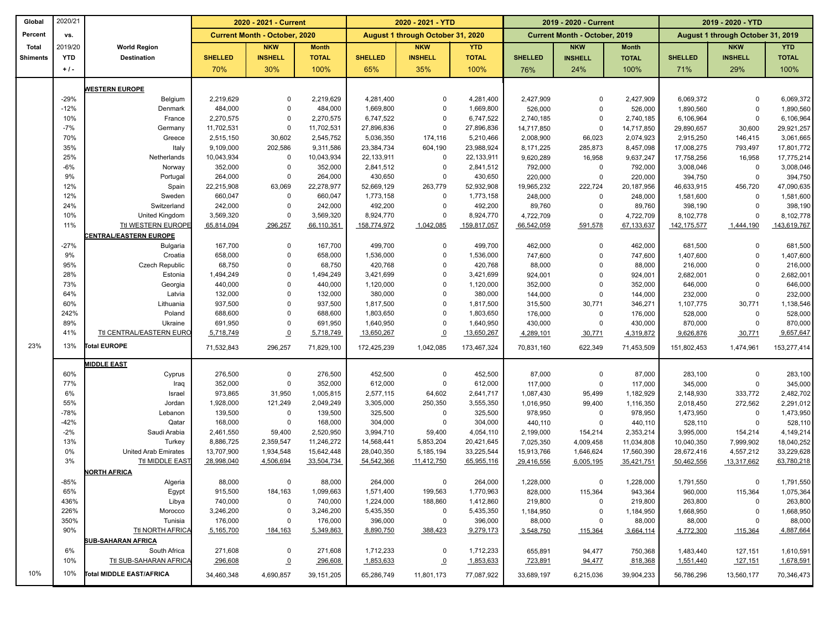| Global          | 2020/21    |                                             | 2020 - 2021 - Current   |                                      |                         |                          | 2020 - 2021 - YTD                 |                          |                      | 2019 - 2020 - Current                |                         | 2019 - 2020 - YTD      |                                   |                          |
|-----------------|------------|---------------------------------------------|-------------------------|--------------------------------------|-------------------------|--------------------------|-----------------------------------|--------------------------|----------------------|--------------------------------------|-------------------------|------------------------|-----------------------------------|--------------------------|
| Percent         | VS.        |                                             |                         | <b>Current Month - October, 2020</b> |                         |                          | August 1 through October 31, 2020 |                          |                      | <b>Current Month - October, 2019</b> |                         |                        | August 1 through October 31, 2019 |                          |
| <b>Total</b>    | 2019/20    | <b>World Region</b>                         |                         | <b>NKW</b>                           | <b>Month</b>            |                          | <b>NKW</b>                        | <b>YTD</b>               |                      | <b>NKW</b>                           | <b>Month</b>            |                        | <b>NKW</b>                        | <b>YTD</b>               |
| <b>Shiments</b> | <b>YTD</b> | <b>Destination</b>                          | <b>SHELLED</b>          | <b>INSHELL</b>                       | <b>TOTAL</b>            | <b>SHELLED</b>           | <b>INSHELL</b>                    | <b>TOTAL</b>             | <b>SHELLED</b>       | <b>INSHELL</b>                       | <b>TOTAL</b>            | <b>SHELLED</b>         | <b>INSHELL</b>                    | <b>TOTAL</b>             |
|                 | $+1$ .     |                                             | 70%                     | 30%                                  | 100%                    | 65%                      | 35%                               | 100%                     | 76%                  | 24%                                  | 100%                    | 71%                    | 29%                               | 100%                     |
|                 |            |                                             |                         |                                      |                         |                          |                                   |                          |                      |                                      |                         |                        |                                   |                          |
|                 | $-29%$     | <b>WESTERN EUROPE</b><br>Belgium            | 2,219,629               | $\mathbf 0$                          | 2,219,629               | 4,281,400                | $\mathbf 0$                       | 4,281,400                | 2,427,909            | $\mathbf 0$                          | 2,427,909               | 6,069,372              | $\Omega$                          | 6,069,372                |
|                 | $-12%$     | Denmark                                     | 484,000                 | $\Omega$                             | 484,000                 | 1,669,800                | $\mathbf 0$                       | 1,669,800                | 526,000              | $\mathbf 0$                          | 526,000                 | 1,890,560              | $\Omega$                          | 1,890,560                |
|                 | 10%        | France                                      | 2,270,575               | $\Omega$                             | 2,270,575               | 6,747,522                | $\mathbf 0$                       | 6,747,522                | 2,740,185            | $\mathbf 0$                          | 2,740,185               | 6,106,964              | $\Omega$                          | 6,106,964                |
|                 | $-7%$      | Germany                                     | 11,702,531              | $\mathbf 0$                          | 11,702,531              | 27,896,836               | $\mathbf 0$                       | 27,896,836               | 14,717,850           | $\mathbf 0$                          | 14,717,850              | 29,890,657             | 30,600                            | 29,921,257               |
|                 | 70%        | Greece                                      | 2,515,150               | 30,602                               | 2,545,752               | 5,036,350                | 174,116                           | 5,210,466                | 2,008,900            | 66,023                               | 2,074,923               | 2,915,250              | 146,415                           | 3,061,665                |
|                 | 35%        | Italy                                       | 9,109,000               | 202,586                              | 9,311,586               | 23,384,734               | 604,190                           | 23,988,924               | 8,171,225            | 285,873                              | 8,457,098               | 17,008,275             | 793,497                           | 17,801,772               |
|                 | 25%        | Netherlands                                 | 10,043,934              | $\mathbf 0$                          | 10,043,934              | 22,133,911               | $\mathbf 0$                       | 22,133,911               | 9,620,289            | 16,958                               | 9,637,247               | 17,758,256             | 16,958                            | 17,775,214               |
|                 | $-6%$      | Norway                                      | 352,000                 | $\mathbf 0$                          | 352,000                 | 2,841,512                | $\mathbf 0$                       | 2,841,512                | 792,000              | $\mathbf 0$                          | 792,000                 | 3,008,046              | $\mathbf 0$                       | 3,008,046                |
|                 | 9%         | Portugal                                    | 264,000                 | $\mathbf 0$                          | 264,000                 | 430,650                  | $\mathbf 0$                       | 430,650                  | 220,000              | $\mathbf 0$                          | 220,000                 | 394,750                | $\mathbf 0$                       | 394,750                  |
|                 | 12%        | Spain                                       | 22,215,908              | 63,069                               | 22,278,977              | 52,669,129               | 263,779                           | 52,932,908               | 19,965,232           | 222,724                              | 20,187,956              | 46,633,915             | 456,720                           | 47,090,635               |
|                 | 12%        | Sweden                                      | 660,047                 | $\mathbf 0$                          | 660,047                 | 1,773,158                | $\mathbf 0$                       | 1,773,158                | 248,000              | $\mathbf 0$                          | 248,000                 | 1,581,600              | $\Omega$                          | 1,581,600                |
|                 | 24%        | Switzerland                                 | 242,000                 | $\mathbf 0$<br>$\Omega$              | 242,000                 | 492,200                  | $\mathbf 0$                       | 492,200                  | 89,760               | $\mathbf 0$                          | 89,760                  | 398,190                | $\Omega$                          | 398,190                  |
|                 | 10%<br>11% | United Kingdom<br><b>Ttl WESTERN EUROPE</b> | 3,569,320<br>65,814,094 | 296,257                              | 3,569,320<br>66,110,351 | 8,924,770<br>158,774,972 | $\mathbf 0$<br>1,042,085          | 8,924,770<br>159,817,057 | 4,722,709            | $\mathbf 0$                          | 4,722,709<br>67,133,637 | 8,102,778              | $\Omega$                          | 8,102,778<br>143,619,767 |
|                 |            | <b>ENTRAL/EASTERN EUROPE</b>                |                         |                                      |                         |                          |                                   |                          | 66,542,059           | 591,578                              |                         | 142,175,577            | 1,444,190                         |                          |
|                 | $-27%$     | <b>Bulgaria</b>                             | 167,700                 | $\mathbf 0$                          | 167,700                 | 499,700                  | 0                                 | 499,700                  | 462,000              | $\mathbf 0$                          | 462,000                 | 681,500                | $\Omega$                          | 681,500                  |
|                 | 9%         | Croatia                                     | 658,000                 | $\mathbf 0$                          | 658,000                 | 1,536,000                | 0                                 | 1,536,000                | 747,600              | $\mathbf 0$                          | 747,600                 | 1,407,600              | $\mathbf 0$                       | 1,407,600                |
|                 | 95%        | <b>Czech Republic</b>                       | 68,750                  | $\Omega$                             | 68,750                  | 420,768                  | $\mathbf 0$                       | 420,768                  | 88,000               | $\mathbf 0$                          | 88,000                  | 216,000                | $\Omega$                          | 216,000                  |
|                 | 28%        | Estonia                                     | 1,494,249               | $\mathbf 0$                          | 1,494,249               | 3,421,699                | $\mathbf 0$                       | 3,421,699                | 924,001              | $\mathbf 0$                          | 924,001                 | 2,682,001              | $\Omega$                          | 2,682,001                |
|                 | 73%        | Georgia                                     | 440,000                 | $\Omega$                             | 440,000                 | 1,120,000                | $\overline{0}$                    | 1,120,000                | 352,000              | $\mathbf 0$                          | 352,000                 | 646,000                | $\Omega$                          | 646,000                  |
|                 | 64%        | Latvia                                      | 132,000                 | $\Omega$                             | 132,000                 | 380,000                  | $\mathbf 0$                       | 380,000                  | 144,000              | $\mathbf 0$                          | 144,000                 | 232,000                | $\Omega$                          | 232,000                  |
|                 | 60%        | Lithuania                                   | 937,500                 | $\Omega$                             | 937,500                 | 1,817,500                | $\mathbf 0$                       | 1,817,500                | 315,500              | 30,771                               | 346,271                 | 1,107,775              | 30,771                            | 1,138,546                |
|                 | 242%       | Poland                                      | 688,600                 | $\Omega$                             | 688,600                 | 1,803,650                | 0                                 | 1,803,650                | 176,000              | $\mathbf 0$                          | 176,000                 | 528,000                | $\mathbf 0$                       | 528,000                  |
|                 | 89%        | Ukraine                                     | 691,950                 | $\mathbf 0$                          | 691,950                 | 1,640,950                | $\mathbf 0$                       | 1,640,950                | 430,000              | $\mathbf 0$                          | 430,000                 | 870,000                | $\mathbf 0$                       | 870,000                  |
|                 | 41%        | Ttl CENTRAL/EASTERN EURO                    | 5,718,749               | $\underline{0}$                      | 5,718,749               | 13,650,267               | $\underline{\mathbf{0}}$          | 13,650,267               | 4,289,101            | 30,771                               | 4,319,872               | 9,626,876              | 30,771                            | 9,657,647                |
| 23%             | 13%        | Total EUROPE                                | 71,532,843              | 296,257                              | 71,829,100              | 172,425,239              | 1,042,085                         | 173,467,324              | 70,831,160           | 622,349                              | 71,453,509              | 151,802,453            | 1,474,961                         | 153,277,414              |
|                 |            | <b>MIDDLE EAST</b>                          |                         |                                      |                         |                          |                                   |                          |                      |                                      |                         |                        |                                   |                          |
|                 | 60%        | Cyprus                                      | 276,500                 | $\mathbf 0$                          | 276,500                 | 452,500                  | $\mathbf 0$                       | 452,500                  | 87,000               | $\mathbf 0$                          | 87,000                  | 283,100                | $\Omega$                          | 283,100                  |
|                 | 77%        | Iraq                                        | 352,000                 | $\mathbf 0$                          | 352,000                 | 612,000                  | $\mathbf 0$                       | 612,000                  | 117,000              | $\mathbf 0$                          | 117,000                 | 345,000                | $\mathbf 0$                       | 345,000                  |
|                 | 6%<br>55%  | Israel<br>Jordan                            | 973,865<br>1,928,000    | 31,950<br>121,249                    | 1,005,815<br>2,049,249  | 2,577,115<br>3,305,000   | 64,602<br>250,350                 | 2,641,717<br>3,555,350   | 1,087,430            | 95,499                               | 1,182,929               | 2,148,930              | 333,772                           | 2,482,702                |
|                 | $-78%$     | Lebanon                                     | 139,500                 | $\mathbf 0$                          | 139,500                 | 325,500                  | $\mathbf 0$                       | 325,500                  | 1,016,950<br>978,950 | 99,400<br>$\Omega$                   | 1,116,350<br>978,950    | 2,018,450<br>1,473,950 | 272,562<br>$\mathbf 0$            | 2,291,012<br>1,473,950   |
|                 | $-42%$     | Qatar                                       | 168,000                 | $\mathbf 0$                          | 168,000                 | 304,000                  | $\mathbf 0$                       | 304,000                  | 440,110              | $\mathbf 0$                          | 440,110                 | 528,110                | $\mathbf 0$                       | 528,110                  |
|                 | $-2%$      | Saudi Arabia                                | 2,461,550               | 59,400                               | 2,520,950               | 3,994,710                | 59,400                            | 4,054,110                | 2,199,000            | 154,214                              | 2,353,214               | 3,995,000              | 154,214                           | 4,149,214                |
|                 | 13%        | Turkey                                      | 8,886,725               | 2,359,547                            | 11,246,272              | 14,568,441               | 5,853,204                         | 20,421,645               | 7,025,350            | 4,009,458                            | 11,034,808              | 10,040,350             | 7,999,902                         | 18,040,252               |
|                 | 0%         | United Arab Emirates                        | 13,707,900              | 1,934,548                            | 15,642,448              | 28,040,350               | 5,185,194                         | 33,225,544               | 15,913,766           | 1,646,624                            | 17,560,390              | 28,672,416             | 4,557,212                         | 33,229,628               |
|                 | 3%         | Ttl MIDDLE EAST                             | 28,998,040              | 4,506,694                            | 33,504,734              | 54,542,366               | 11,412,750                        | 65,955,116               | 29,416,556           | 6,005,195                            | 35,421,751              | 50,462,556             | 13,317,662                        | 63,780,218               |
|                 |            | NORTH AFRICA                                |                         |                                      |                         |                          |                                   |                          |                      |                                      |                         |                        |                                   |                          |
|                 | $-85%$     | Algeria                                     | 88,000                  | $\Omega$                             | 88,000                  | 264,000                  | $\mathbf 0$                       | 264,000                  | 1,228,000            | $\mathbf 0$                          | 1,228,000               | 1,791,550              | $\Omega$                          | 1,791,550                |
|                 | 65%        | Egypt                                       | 915,500                 | 184,163                              | 1,099,663               | 1,571,400                | 199,563                           | 1,770,963                | 828,000              | 115,364                              | 943,364                 | 960,000                | 115,364                           | 1,075,364                |
|                 | 436%       | Libya                                       | 740,000                 | $\mathbf 0$                          | 740,000                 | 1,224,000                | 188,860                           | 1,412,860                | 219,800              | 0                                    | 219,800                 | 263,800                | $\mathbf 0$                       | 263,800                  |
|                 | 226%       | Morocco                                     | 3,246,200               | $\mathbf 0$                          | 3,246,200               | 5,435,350                | $\mathbf 0$                       | 5,435,350                | 1,184,950            | $\mathbf 0$                          | 1,184,950               | 1,668,950              | $\mathbf 0$                       | 1,668,950                |
|                 | 350%       | Tunisia                                     | 176,000                 | $\Omega$                             | 176,000                 | 396,000                  | 0                                 | 396,000                  | 88,000               | 0                                    | 88,000                  | 88,000                 | $\Omega$                          | 88,000                   |
|                 | 90%        | Ttl NORTH AFRICA                            | 5,165,700               | 184,163                              | 5,349,863               | 8,890,750                | 388,423                           | 9,279,173                | 3,548,750            | 115,364                              | 3,664,114               | 4,772,300              | 115,364                           | 4,887,664                |
|                 |            | <b>SUB-SAHARAN AFRICA</b>                   |                         |                                      |                         |                          |                                   |                          |                      |                                      |                         |                        |                                   |                          |
|                 | 6%<br>10%  | South Africa<br>Ttl SUB-SAHARAN AFRICA      | 271,608<br>296,608      | 0                                    | 271,608<br>296,608      | 1,712,233<br>1,853,633   | 0                                 | 1,712,233<br>1,853,633   | 655,891              | 94,477                               | 750,368                 | 1,483,440              | 127,151                           | 1,610,591<br>1,678,591   |
|                 |            |                                             |                         | $\underline{0}$                      |                         |                          | $\overline{o}$                    |                          | 723,891              | 94,477                               | 818,368                 | 1,551,440              | 127,151                           |                          |
| 10%             | 10%        | <b>Total MIDDLE EAST/AFRICA</b>             | 34,460,348              | 4,690,857                            | 39,151,205              | 65,286,749               | 11,801,173                        | 77,087,922               | 33,689,197           | 6,215,036                            | 39,904,233              | 56,786,296             | 13,560,177                        | 70,346,473               |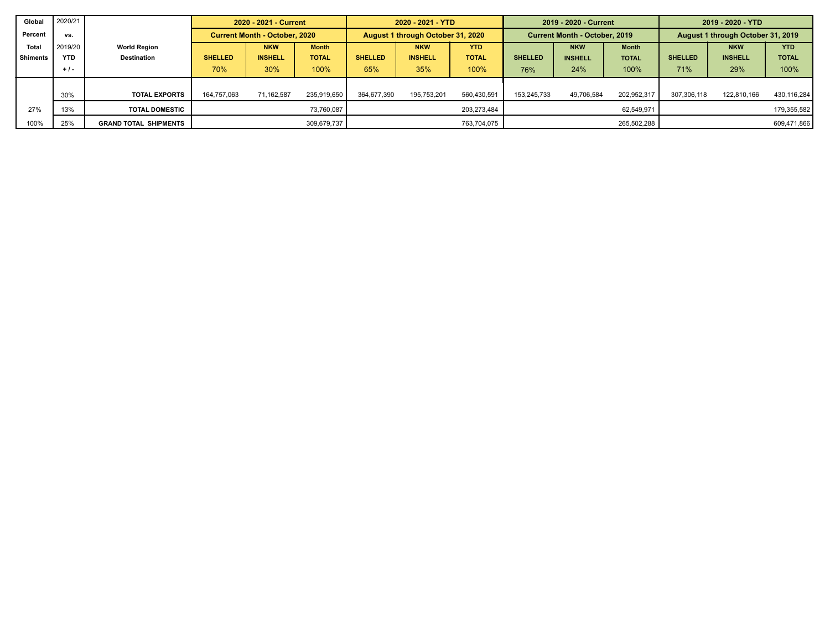| Global          | 2020/21    |                              |                                      | 2020 - 2021 - Current |              |                | 2020 - 2021 - YTD                 |              |                | 2019 - 2020 - Current                |              | 2019 - 2020 - YTD |                                   |              |  |
|-----------------|------------|------------------------------|--------------------------------------|-----------------------|--------------|----------------|-----------------------------------|--------------|----------------|--------------------------------------|--------------|-------------------|-----------------------------------|--------------|--|
| Percent         | vs.        |                              | <b>Current Month - October, 2020</b> |                       |              |                | August 1 through October 31, 2020 |              |                | <b>Current Month - October, 2019</b> |              |                   | August 1 through October 31, 2019 |              |  |
| Total           | 2019/20    | <b>World Region</b>          | <b>NKW</b><br><b>Month</b>           |                       |              |                | <b>NKW</b>                        | <b>YTD</b>   |                | <b>NKW</b>                           | <b>Month</b> |                   | <b>NKW</b>                        | <b>YTD</b>   |  |
| <b>Shiments</b> | <b>YTD</b> | <b>Destination</b>           | <b>SHELLED</b>                       | <b>INSHELL</b>        | <b>TOTAL</b> | <b>SHELLED</b> | <b>INSHELL</b>                    | <b>TOTAL</b> | <b>SHELLED</b> | <b>INSHELL</b>                       | <b>TOTAL</b> | <b>SHELLED</b>    | <b>INSHELL</b>                    | <b>TOTAL</b> |  |
|                 | $+1$       |                              | 70%                                  | 30%                   | 100%         | 65%            | 35%                               | 100%         | 76%            | 24%                                  | 100%         | 71%               | 29%                               | 100%         |  |
|                 |            |                              |                                      |                       |              |                |                                   |              |                |                                      |              |                   |                                   |              |  |
|                 | 30%        | <b>TOTAL EXPORTS</b>         | 164,757,063                          | 71,162,587            | 235,919,650  | 364,677,390    | 195,753,201                       | 560,430,591  | 153.245.733    | 49.706.584                           | 202,952,317  | 307.306.118       | 122,810,166                       | 430,116,284  |  |
| 27%             | 13%        | <b>TOTAL DOMESTIC</b>        |                                      |                       | 73.760.087   |                |                                   | 203,273,484  |                |                                      | 62,549,971   |                   |                                   | 179,355,582  |  |
| 100%            | 25%        | <b>GRAND TOTAL SHIPMENTS</b> |                                      |                       | 309,679,737  |                |                                   | 763,704,075  | 265,502,288    |                                      |              |                   |                                   | 609,471,866  |  |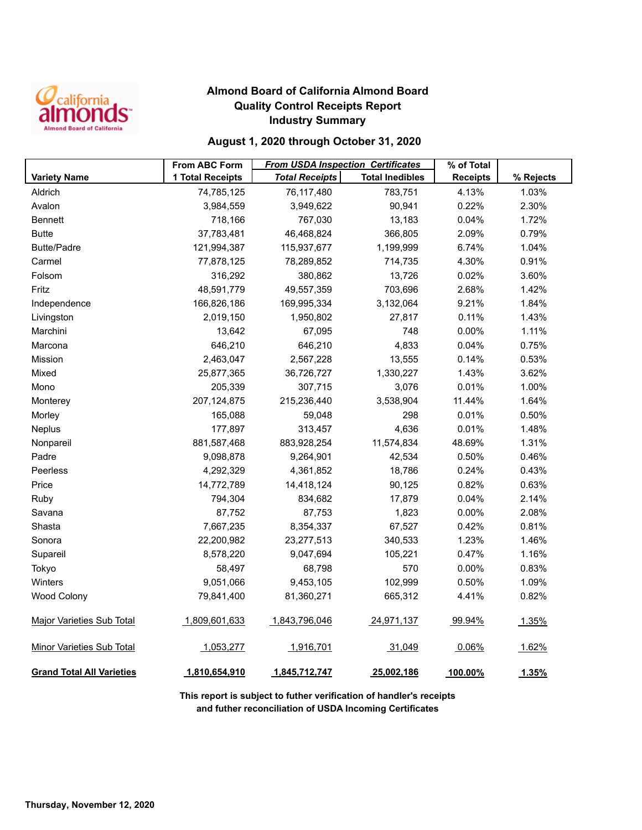

## **Almond Board of California Almond Board Quality Control Receipts Report Industry Summary**

## **August 1, 2020 through October 31, 2020**

|                                  | <b>From ABC Form</b> | <b>From USDA Inspection Certificates</b> |                        | % of Total      |           |
|----------------------------------|----------------------|------------------------------------------|------------------------|-----------------|-----------|
| <b>Variety Name</b>              | 1 Total Receipts     | <b>Total Receipts</b>                    | <b>Total Inedibles</b> | <b>Receipts</b> | % Rejects |
| Aldrich                          | 74,785,125           | 76,117,480                               | 783,751                | 4.13%           | 1.03%     |
| Avalon                           | 3,984,559            | 3,949,622                                | 90,941                 | 0.22%           | 2.30%     |
| <b>Bennett</b>                   | 718,166              | 767,030                                  | 13,183                 | 0.04%           | 1.72%     |
| <b>Butte</b>                     | 37,783,481           | 46,468,824                               | 366,805                | 2.09%           | 0.79%     |
| <b>Butte/Padre</b>               | 121,994,387          | 115,937,677                              | 1,199,999              | 6.74%           | 1.04%     |
| Carmel                           | 77,878,125           | 78,289,852                               | 714,735                | 4.30%           | 0.91%     |
| Folsom                           | 316,292              | 380,862                                  | 13,726                 | 0.02%           | 3.60%     |
| Fritz                            | 48,591,779           | 49,557,359                               | 703,696                | 2.68%           | 1.42%     |
| Independence                     | 166,826,186          | 169,995,334                              | 3,132,064              | 9.21%           | 1.84%     |
| Livingston                       | 2,019,150            | 1,950,802                                | 27,817                 | 0.11%           | 1.43%     |
| Marchini                         | 13,642               | 67,095                                   | 748                    | 0.00%           | 1.11%     |
| Marcona                          | 646,210              | 646,210                                  | 4,833                  | 0.04%           | 0.75%     |
| Mission                          | 2,463,047            | 2,567,228                                | 13,555                 | 0.14%           | 0.53%     |
| Mixed                            | 25,877,365           | 36,726,727                               | 1,330,227              | 1.43%           | 3.62%     |
| Mono                             | 205,339              | 307,715                                  | 3,076                  | 0.01%           | 1.00%     |
| Monterey                         | 207, 124, 875        | 215,236,440                              | 3,538,904              | 11.44%          | 1.64%     |
| Morley                           | 165,088              | 59,048                                   | 298                    | 0.01%           | 0.50%     |
| Neplus                           | 177,897              | 313,457                                  | 4,636                  | 0.01%           | 1.48%     |
| Nonpareil                        | 881,587,468          | 883,928,254                              | 11,574,834             | 48.69%          | 1.31%     |
| Padre                            | 9,098,878            | 9,264,901                                | 42,534                 | 0.50%           | 0.46%     |
| Peerless                         | 4,292,329            | 4,361,852                                | 18,786                 | 0.24%           | 0.43%     |
| Price                            | 14,772,789           | 14,418,124                               | 90,125                 | 0.82%           | 0.63%     |
| Ruby                             | 794,304              | 834,682                                  | 17,879                 | 0.04%           | 2.14%     |
| Savana                           | 87,752               | 87,753                                   | 1,823                  | 0.00%           | 2.08%     |
| Shasta                           | 7,667,235            | 8,354,337                                | 67,527                 | 0.42%           | 0.81%     |
| Sonora                           | 22,200,982           | 23,277,513                               | 340,533                | 1.23%           | 1.46%     |
| Supareil                         | 8,578,220            | 9,047,694                                | 105,221                | 0.47%           | 1.16%     |
| Tokyo                            | 58,497               | 68,798                                   | 570                    | 0.00%           | 0.83%     |
| Winters                          | 9,051,066            | 9,453,105                                | 102,999                | 0.50%           | 1.09%     |
| <b>Wood Colony</b>               | 79,841,400           | 81,360,271                               | 665,312                | 4.41%           | 0.82%     |
| <b>Major Varieties Sub Total</b> | 1,809,601,633        | 1,843,796,046                            | 24,971,137             | 99.94%          | 1.35%     |
| <b>Minor Varieties Sub Total</b> | 1,053,277            | 1,916,701                                | 31,049                 | 0.06%           | 1.62%     |
| <b>Grand Total All Varieties</b> | 1,810,654,910        | 1,845,712,747                            | 25,002,186             | 100.00%         | 1.35%     |

**This report is subject to futher verification of handler's receipts and futher reconciliation of USDA Incoming Certificates**